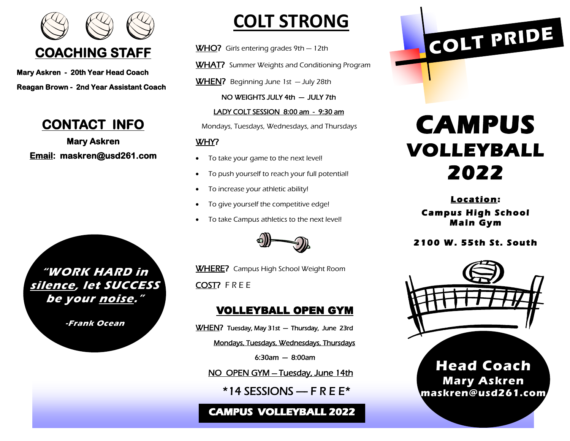

**Mary Askren - 20th Year Head Coach Reagan Brown - 2nd Year Assistant Coach** 

### **CONTACT INFO**

**Mary Askren Email: maskren@usd261.com** 

**"WORK HARD in silence, let SUCCESS be your noise."**

**-Frank Ocean**

### **COLT STRONG**

WHO? Girls entering grades 9th – 12th

WHAT? Summer Weights and Conditioning Program

WHEN? Beginning June 1st - July 28th

NO WEIGHTS JULY 4th — JULY 7th

LADY COLT SESSION 8:00 am - 9:30 am

Mondays, Tuesdays, Wednesdays, and Thursdays

#### WHY?

- To take your game to the next level!
- To push yourself to reach your full potential!
- To increase your athletic ability!
- To give yourself the competitive edge!
- To take Campus athletics to the next level!



WHERE? Campus High School Weight Room

COST? F R E E

### VOLLEYBALL OPEN GYM

WHEN? Tuesday, May 31st - Thursday, June 23rd

Mondays, Tuesdays, Wednesdays, Thursdays

6:30am — 8:00am

NO OPEN GYM — Tuesday, June 14th

 $*14$  SESSIONS — F R E E $*$ 

### **CAMPUS VOLLEYBALL 2022**



# **CAMPUS VOLLEYBALL 2022**

**L ocat io n: Campus High School M a in G y m** 

#### **2 1 0 0 W . 55 th St. S out h**